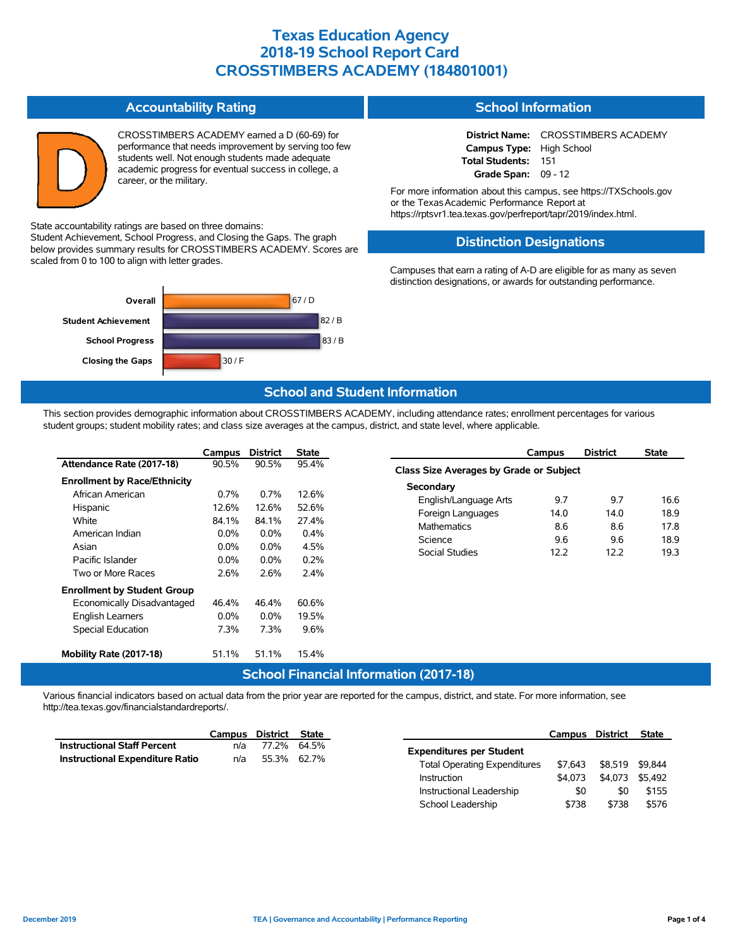#### **Accountability Rating**

CROSSTIMBERS ACADEMY earned a D (60-69) for performance that needs improvement by serving too few students well. Not enough students made adequate academic progress for eventual success in college, a career, or the military.

State accountability ratings are based on three domains:

Student Achievement, School Progress, and Closing the Gaps. The graph below provides summary results for CROSSTIMBERS ACADEMY. Scores are scaled from 0 to 100 to align with letter grades.



#### **School Information**

**District Name:** CROSSTIMBERS ACADEMY **Campus Type:** High School **Total Students:** 151 **Grade Span:** 09 - 12

For more information about this campus, see https://TXSchools.gov or the TexasAcademic Performance Report at https://rptsvr1.tea.texas.gov/perfreport/tapr/2019/index.html.

#### **Distinction Designations**

Campuses that earn a rating of A-D are eligible for as many as seven distinction designations, or awards for outstanding performance.

### **School and Student Information**

This section provides demographic information about CROSSTIMBERS ACADEMY, including attendance rates; enrollment percentages for various student groups; student mobility rates; and class size averages at the campus, district, and state level, where applicable.

|                                     | Campus  | <b>District</b> | State            |
|-------------------------------------|---------|-----------------|------------------|
| Attendance Rate (2017-18)           | 90.5%   | 90.5%           | 95.4%            |
| <b>Enrollment by Race/Ethnicity</b> |         |                 |                  |
| African American                    | $0.7\%$ | $0.7\%$         | 12.6%            |
| Hispanic                            | 12.6%   | 12.6%           | 52.6%            |
| White                               | 84.1%   | 84.1%           | 27.4%            |
| American Indian                     | $0.0\%$ | $0.0\%$         | $0.4\%$          |
| Asian                               | $0.0\%$ | $0.0\%$         | 4.5%             |
| Pacific Islander                    | $0.0\%$ | $0.0\%$         | 0.2%             |
| Two or More Races                   | 2.6%    | 2.6%            | 2.4%             |
| <b>Enrollment by Student Group</b>  |         |                 |                  |
| Economically Disadvantaged          | 46.4%   | 46.4%           | 60.6%            |
| <b>English Learners</b>             | $0.0\%$ | $0.0\%$         | 19.5%            |
| <b>Special Education</b>            | 7.3%    | 7.3%            | 9.6%             |
|                                     |         |                 |                  |
| Mobility Rate (2017-18)             | 51.1%   | 51.1%           | 15.4%            |
|                                     |         |                 | Cahaal Einanaial |

|                                         | Campus | <b>District</b> | <b>State</b> |  |  |  |  |  |  |
|-----------------------------------------|--------|-----------------|--------------|--|--|--|--|--|--|
| Class Size Averages by Grade or Subject |        |                 |              |  |  |  |  |  |  |
| Secondary                               |        |                 |              |  |  |  |  |  |  |
| English/Language Arts                   | 97     | 97              | 16.6         |  |  |  |  |  |  |
| Foreign Languages                       | 14.0   | 14.0            | 18.9         |  |  |  |  |  |  |
| <b>Mathematics</b>                      | 8.6    | 8.6             | 17.8         |  |  |  |  |  |  |
| Science                                 | 9.6    | 9.6             | 18.9         |  |  |  |  |  |  |
| Social Studies                          | 122    | 122             | 19.3         |  |  |  |  |  |  |
|                                         |        |                 |              |  |  |  |  |  |  |

School Leadership  $$738$  \$738 \$576

### **School Financial Information (2017-18)**

Various financial indicators based on actual data from the prior year are reported for the campus, district, and state. For more information, see http://tea.texas.gov/financialstandardreports/.

|                                        | Campus | District State |             |                                     |         | Campus District | <b>State</b> |
|----------------------------------------|--------|----------------|-------------|-------------------------------------|---------|-----------------|--------------|
| <b>Instructional Staff Percent</b>     | n/a    |                | 77.2% 64.5% | <b>Expenditures per Student</b>     |         |                 |              |
| <b>Instructional Expenditure Ratio</b> | n/a    | 55.3% 62.7%    |             | <b>Total Operating Expenditures</b> | \$7.643 | \$8,519 \$9,844 |              |
|                                        |        |                |             | Instruction                         | \$4,073 | \$4.073         | \$5.492      |
|                                        |        |                |             | Instructional Leadership            | \$0     | \$0             | \$155        |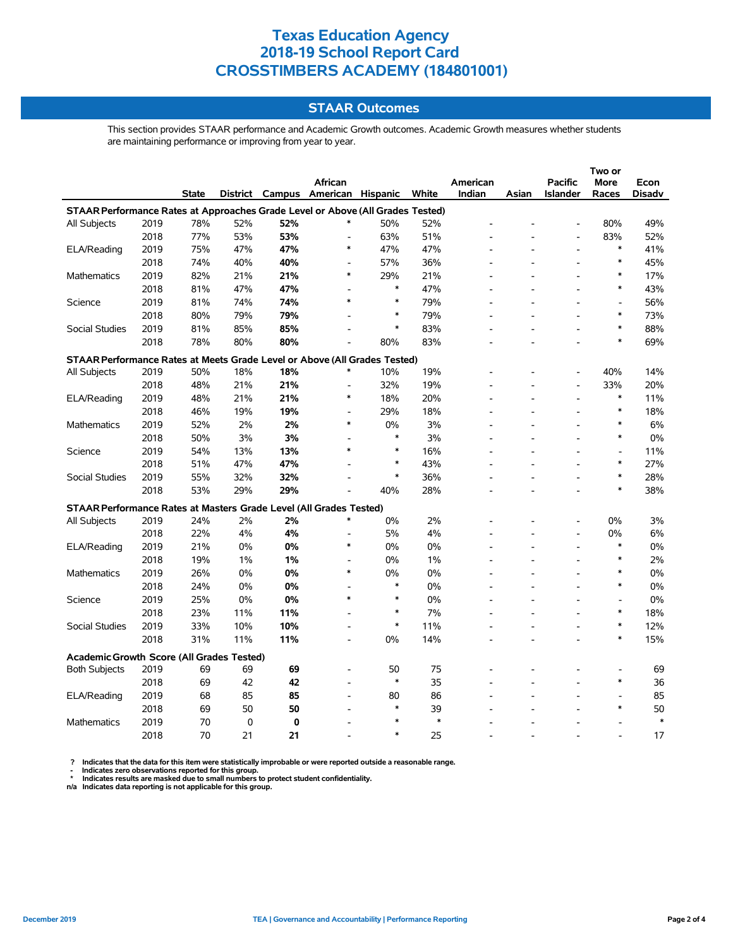### **STAAR Outcomes**

This section provides STAAR performance and Academic Growth outcomes. Academic Growth measures whether students are maintaining performance or improving from year to year.

|                                                                                |      |              |             |     |                                   |        |        |          | Two or |                          |                          |               |  |
|--------------------------------------------------------------------------------|------|--------------|-------------|-----|-----------------------------------|--------|--------|----------|--------|--------------------------|--------------------------|---------------|--|
|                                                                                |      |              |             |     | African                           |        |        | American |        | <b>Pacific</b>           | <b>More</b>              | Econ          |  |
|                                                                                |      | <b>State</b> |             |     | District Campus American Hispanic |        | White  | Indian   | Asian  | Islander                 | Races                    | <b>Disadv</b> |  |
| STAAR Performance Rates at Approaches Grade Level or Above (All Grades Tested) |      |              |             |     |                                   |        |        |          |        |                          |                          |               |  |
| <b>All Subjects</b>                                                            | 2019 | 78%          | 52%         | 52% |                                   | 50%    | 52%    |          |        |                          | 80%                      | 49%           |  |
|                                                                                | 2018 | 77%          | 53%         | 53% | $\overline{a}$                    | 63%    | 51%    |          |        |                          | 83%                      | 52%           |  |
| ELA/Reading                                                                    | 2019 | 75%          | 47%         | 47% | $\ast$                            | 47%    | 47%    |          |        | $\overline{a}$           | $\ast$                   | 41%           |  |
|                                                                                | 2018 | 74%          | 40%         | 40% | $\overline{\phantom{a}}$          | 57%    | 36%    |          |        | $\overline{\phantom{a}}$ | ∗                        | 45%           |  |
| Mathematics                                                                    | 2019 | 82%          | 21%         | 21% | $\ast$                            | 29%    | 21%    |          |        |                          | $\ast$                   | 17%           |  |
|                                                                                | 2018 | 81%          | 47%         | 47% |                                   | $\ast$ | 47%    |          |        |                          | $\ast$                   | 43%           |  |
| Science                                                                        | 2019 | 81%          | 74%         | 74% | $\ast$                            | $\ast$ | 79%    |          |        |                          | $\overline{a}$           | 56%           |  |
|                                                                                | 2018 | 80%          | 79%         | 79% |                                   | $\ast$ | 79%    |          |        |                          | $\ast$                   | 73%           |  |
| Social Studies                                                                 | 2019 | 81%          | 85%         | 85% |                                   | $\ast$ | 83%    |          |        |                          | $\ast$                   | 88%           |  |
|                                                                                | 2018 | 78%          | 80%         | 80% |                                   | 80%    | 83%    |          |        |                          | $\ast$                   | 69%           |  |
| STAAR Performance Rates at Meets Grade Level or Above (All Grades Tested)      |      |              |             |     |                                   |        |        |          |        |                          |                          |               |  |
| All Subjects                                                                   | 2019 | 50%          | 18%         | 18% | $\ast$                            | 10%    | 19%    |          |        |                          | 40%                      | 14%           |  |
|                                                                                | 2018 | 48%          | 21%         | 21% | $\overline{a}$                    | 32%    | 19%    |          |        | $\overline{\phantom{a}}$ | 33%                      | 20%           |  |
| ELA/Reading                                                                    | 2019 | 48%          | 21%         | 21% | $\ast$                            | 18%    | 20%    |          |        |                          | $\ast$                   | 11%           |  |
|                                                                                | 2018 | 46%          | 19%         | 19% |                                   | 29%    | 18%    |          |        |                          | $\ast$                   | 18%           |  |
| <b>Mathematics</b>                                                             | 2019 | 52%          | 2%          | 2%  | $\ast$                            | 0%     | 3%     |          |        | $\overline{\phantom{a}}$ | $\ast$                   | 6%            |  |
|                                                                                | 2018 | 50%          | 3%          | 3%  | L,                                | $\ast$ | 3%     |          |        |                          | $\ast$                   | 0%            |  |
| Science                                                                        | 2019 | 54%          | 13%         | 13% | $\ast$                            | $\ast$ | 16%    |          |        |                          |                          | 11%           |  |
|                                                                                | 2018 | 51%          | 47%         | 47% |                                   | $\ast$ | 43%    |          |        |                          | $\ast$                   | 27%           |  |
| <b>Social Studies</b>                                                          | 2019 | 55%          | 32%         | 32% |                                   | $\ast$ | 36%    |          |        | $\overline{\phantom{a}}$ | $\ast$                   | 28%           |  |
|                                                                                | 2018 | 53%          | 29%         | 29% |                                   | 40%    | 28%    |          |        |                          | $\ast$                   | 38%           |  |
| STAAR Performance Rates at Masters Grade Level (All Grades Tested)             |      |              |             |     |                                   |        |        |          |        |                          |                          |               |  |
| All Subjects                                                                   | 2019 | 24%          | 2%          | 2%  | $\ast$                            | 0%     | 2%     |          |        |                          | 0%                       | 3%            |  |
|                                                                                | 2018 | 22%          | 4%          | 4%  | $\overline{a}$                    | 5%     | 4%     |          |        | $\overline{a}$           | 0%                       | 6%            |  |
| ELA/Reading                                                                    | 2019 | 21%          | 0%          | 0%  | $\ast$                            | 0%     | 0%     |          |        | $\overline{a}$           | $\ast$                   | 0%            |  |
|                                                                                | 2018 | 19%          | 1%          | 1%  | L,                                | 0%     | 1%     |          |        |                          | *                        | 2%            |  |
| Mathematics                                                                    | 2019 | 26%          | 0%          | 0%  | $\ast$                            | 0%     | 0%     |          |        |                          | $\ast$                   | 0%            |  |
|                                                                                | 2018 | 24%          | $0\%$       | 0%  |                                   | $\ast$ | 0%     |          |        |                          | $\ast$                   | 0%            |  |
| Science                                                                        | 2019 | 25%          | $0\%$       | 0%  | $\ast$                            | $\ast$ | 0%     |          |        |                          | $\overline{\phantom{a}}$ | 0%            |  |
|                                                                                | 2018 | 23%          | 11%         | 11% |                                   | $\ast$ | 7%     |          |        |                          | $\ast$                   | 18%           |  |
| <b>Social Studies</b>                                                          | 2019 | 33%          | 10%         | 10% | $\overline{a}$                    | $\ast$ | 11%    |          |        | ÷,                       | $\ast$                   | 12%           |  |
|                                                                                | 2018 | 31%          | 11%         | 11% | L,                                | 0%     | 14%    |          |        | L,                       | $\ast$                   | 15%           |  |
| Academic Growth Score (All Grades Tested)                                      |      |              |             |     |                                   |        |        |          |        |                          |                          |               |  |
| <b>Both Subjects</b>                                                           | 2019 | 69           | 69          | 69  | $\overline{\phantom{a}}$          | 50     | 75     |          |        |                          |                          | 69            |  |
|                                                                                | 2018 | 69           | 42          | 42  |                                   | $\ast$ | 35     |          |        |                          | $\ast$                   | 36            |  |
| ELA/Reading                                                                    | 2019 | 68           | 85          | 85  |                                   | 80     | 86     |          |        |                          |                          | 85            |  |
|                                                                                | 2018 | 69           | 50          | 50  |                                   | $\ast$ | 39     |          |        |                          | $\ast$                   | 50            |  |
| <b>Mathematics</b>                                                             | 2019 | 70           | $\mathbf 0$ | 0   |                                   | $\ast$ | $\ast$ |          |        |                          |                          | $\ast$        |  |
|                                                                                | 2018 | 70           | 21          | 21  |                                   | $\ast$ | 25     |          |        |                          |                          | 17            |  |

? Indicates that the data for this item were statistically improbable or were reported outside a reasonable range.<br>- Indicates zero observations reported for this group.<br>\* Indicates results are masked due to small numbers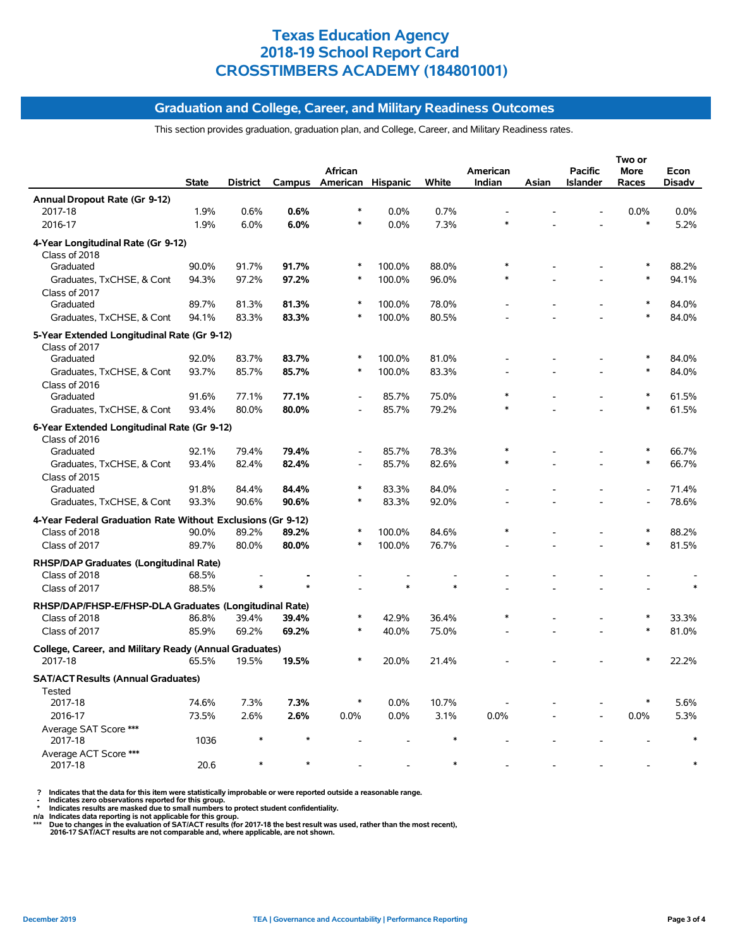#### **Graduation and College, Career, and Military Readiness Outcomes**

This section provides graduation, graduation plan, and College, Career, and Military Readiness rates.

|                                                              | <b>State</b> | District | Campus | <b>African</b><br>American Hispanic |        | White  | American<br>Indian | Asian | <b>Pacific</b><br><b>Islander</b> | Two or<br><b>More</b><br>Races | Econ<br><b>Disadv</b> |
|--------------------------------------------------------------|--------------|----------|--------|-------------------------------------|--------|--------|--------------------|-------|-----------------------------------|--------------------------------|-----------------------|
| Annual Dropout Rate (Gr 9-12)                                |              |          |        |                                     |        |        |                    |       |                                   |                                |                       |
| 2017-18                                                      | 1.9%         | 0.6%     | 0.6%   | $\ast$                              | 0.0%   | 0.7%   |                    |       |                                   | 0.0%                           | 0.0%                  |
| 2016-17                                                      | 1.9%         | 6.0%     | 6.0%   | $\ast$                              | 0.0%   | 7.3%   |                    |       |                                   | $\ast$                         | 5.2%                  |
| 4-Year Longitudinal Rate (Gr 9-12)<br>Class of 2018          |              |          |        |                                     |        |        |                    |       |                                   |                                |                       |
| Graduated                                                    | 90.0%        | 91.7%    | 91.7%  | ∗                                   | 100.0% | 88.0%  |                    |       |                                   | $\ast$                         | 88.2%                 |
| Graduates, TxCHSE, & Cont                                    | 94.3%        | 97.2%    | 97.2%  | $\ast$                              | 100.0% | 96.0%  | $\ast$             |       |                                   | $\ast$                         | 94.1%                 |
| Class of 2017                                                |              |          |        |                                     |        |        |                    |       |                                   |                                |                       |
| Graduated                                                    | 89.7%        | 81.3%    | 81.3%  | $\ast$                              | 100.0% | 78.0%  |                    |       |                                   |                                | 84.0%                 |
| Graduates, TxCHSE, & Cont                                    | 94.1%        | 83.3%    | 83.3%  | $\ast$                              | 100.0% | 80.5%  |                    |       |                                   | $\ast$                         | 84.0%                 |
|                                                              |              |          |        |                                     |        |        |                    |       |                                   |                                |                       |
| 5-Year Extended Longitudinal Rate (Gr 9-12)<br>Class of 2017 |              |          |        |                                     |        |        |                    |       |                                   |                                |                       |
| Graduated                                                    | 92.0%        | 83.7%    | 83.7%  | $\ast$                              | 100.0% | 81.0%  |                    |       |                                   | $\ast$                         | 84.0%                 |
| Graduates, TxCHSE, & Cont                                    | 93.7%        | 85.7%    | 85.7%  | $\ast$                              | 100.0% | 83.3%  |                    |       |                                   |                                | 84.0%                 |
| Class of 2016                                                |              |          |        |                                     |        |        |                    |       |                                   |                                |                       |
| Graduated                                                    | 91.6%        | 77.1%    | 77.1%  |                                     | 85.7%  | 75.0%  |                    |       |                                   | $\ast$                         | 61.5%                 |
| Graduates, TxCHSE, & Cont                                    | 93.4%        | 80.0%    | 80.0%  |                                     | 85.7%  | 79.2%  | $\ast$             |       |                                   | $\ast$                         | 61.5%                 |
|                                                              |              |          |        |                                     |        |        |                    |       |                                   |                                |                       |
| 6-Year Extended Longitudinal Rate (Gr 9-12)                  |              |          |        |                                     |        |        |                    |       |                                   |                                |                       |
| Class of 2016<br>Graduated                                   | 92.1%        | 79.4%    | 79.4%  | ٠                                   | 85.7%  | 78.3%  | $\ast$             |       |                                   | $\ast$                         | 66.7%                 |
| Graduates, TxCHSE, & Cont                                    | 93.4%        | 82.4%    | 82.4%  | $\overline{a}$                      | 85.7%  | 82.6%  | $\ast$             |       |                                   | $\ast$                         | 66.7%                 |
|                                                              |              |          |        |                                     |        |        |                    |       |                                   |                                |                       |
| Class of 2015<br>Graduated                                   | 91.8%        | 84.4%    | 84.4%  | $\ast$                              | 83.3%  | 84.0%  |                    |       |                                   | $\overline{a}$                 | 71.4%                 |
| Graduates, TxCHSE, & Cont                                    | 93.3%        | 90.6%    | 90.6%  | $\ast$                              | 83.3%  | 92.0%  |                    |       |                                   | L.                             | 78.6%                 |
|                                                              |              |          |        |                                     |        |        |                    |       |                                   |                                |                       |
| 4-Year Federal Graduation Rate Without Exclusions (Gr 9-12)  |              |          |        | $\ast$                              |        |        |                    |       |                                   |                                |                       |
| Class of 2018                                                | 90.0%        | 89.2%    | 89.2%  | $\ast$                              | 100.0% | 84.6%  |                    |       |                                   | $\ast$                         | 88.2%                 |
| Class of 2017                                                | 89.7%        | 80.0%    | 80.0%  |                                     | 100.0% | 76.7%  |                    |       |                                   |                                | 81.5%                 |
| RHSP/DAP Graduates (Longitudinal Rate)                       |              |          |        |                                     |        |        |                    |       |                                   |                                |                       |
| Class of 2018                                                | 68.5%        |          |        |                                     |        |        |                    |       |                                   |                                |                       |
| Class of 2017                                                | 88.5%        | $\ast$   |        |                                     | $\ast$ | $\ast$ |                    |       |                                   |                                |                       |
| RHSP/DAP/FHSP-E/FHSP-DLA Graduates (Longitudinal Rate)       |              |          |        |                                     |        |        |                    |       |                                   |                                |                       |
| Class of 2018                                                | 86.8%        | 39.4%    | 39.4%  |                                     | 42.9%  | 36.4%  |                    |       |                                   | $\ast$                         | 33.3%                 |
| Class of 2017                                                | 85.9%        | 69.2%    | 69.2%  |                                     | 40.0%  | 75.0%  |                    |       |                                   | $\ast$                         | 81.0%                 |
| College, Career, and Military Ready (Annual Graduates)       |              |          |        |                                     |        |        |                    |       |                                   |                                |                       |
| 2017-18                                                      | 65.5%        | 19.5%    | 19.5%  | $\ast$                              | 20.0%  | 21.4%  |                    |       |                                   |                                | 22.2%                 |
| <b>SAT/ACT Results (Annual Graduates)</b>                    |              |          |        |                                     |        |        |                    |       |                                   |                                |                       |
| <b>Tested</b>                                                | 74.6%        |          |        | $\ast$                              |        |        |                    |       |                                   |                                |                       |
| 2017-18                                                      |              | 7.3%     | 7.3%   |                                     | 0.0%   | 10.7%  |                    |       |                                   |                                | 5.6%                  |
| 2016-17                                                      | 73.5%        | 2.6%     | 2.6%   | 0.0%                                | 0.0%   | 3.1%   | 0.0%               |       |                                   | 0.0%                           | 5.3%                  |
| Average SAT Score ***<br>2017-18                             | 1036         | $\ast$   |        |                                     |        | $\ast$ |                    |       |                                   |                                |                       |
| Average ACT Score ***<br>2017-18                             | 20.6         | $\ast$   |        |                                     |        | $\ast$ |                    |       |                                   |                                |                       |

? Indicates that the data for this item were statistically improbable or were reported outside a reasonable range.<br>- Indicates zero observations reported for this group.<br>- Indicates are masked due to small numbers to prote